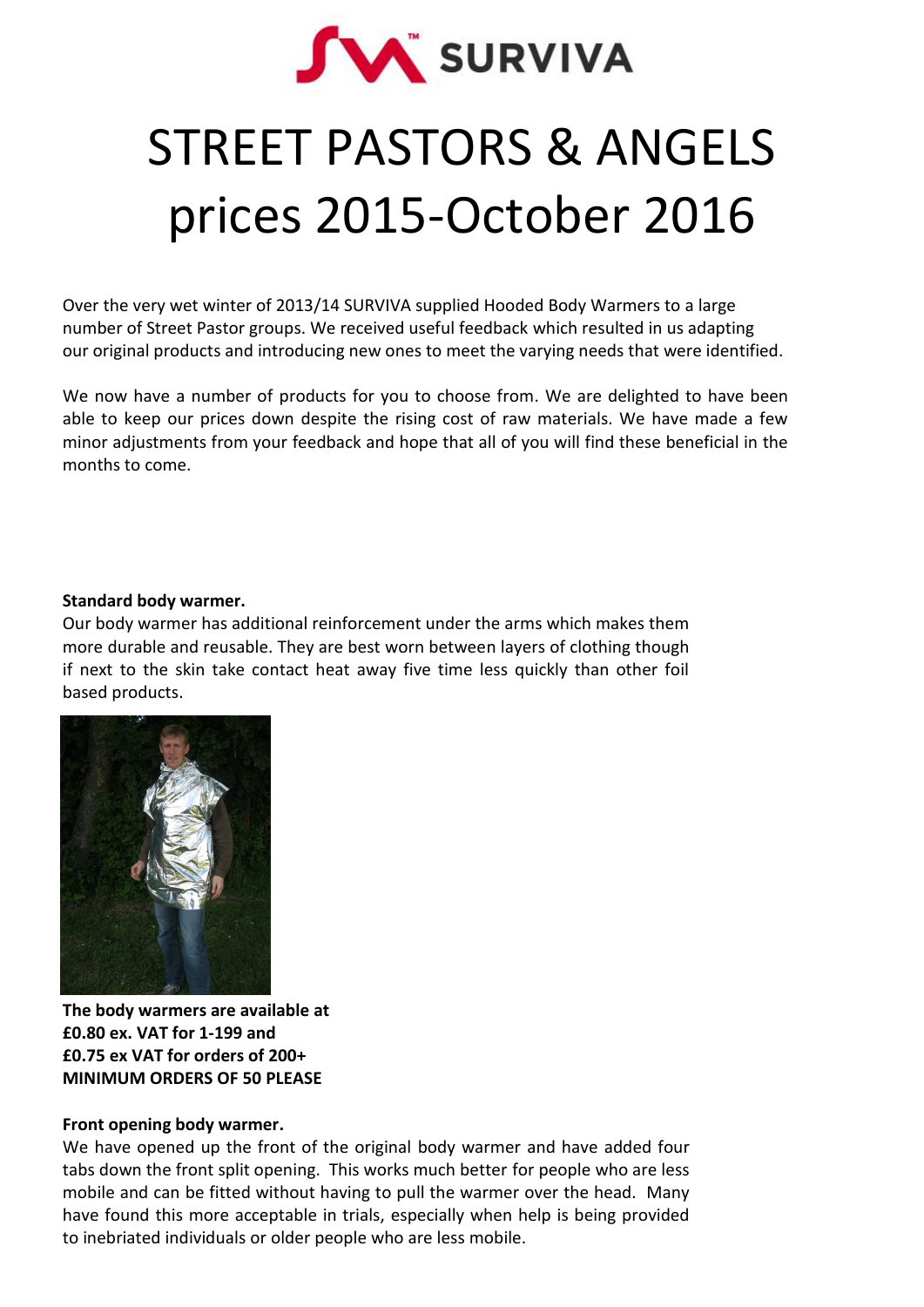

# STREET PASTORS & ANGELS prices 2015-October 2016

Over the very wet winter of 2013/14 SURVIVA supplied Hooded Body Warmers to a large number of Street Pastor groups. We received useful feedback which resulted in us adapting our original products and introducing new ones to meet the varying needs that were identified.

We now have a number of products for you to choose from. We are delighted to have been able to keep our prices down despite the rising cost of raw materials. We have made a few minor adjustments from your feedback and hope that all of you will find these beneficial in the months to come.

## **Standard body warmer.**

Our body warmer has additional reinforcement under the arms which makes them more durable and reusable. They are best worn between layers of clothing though if next to the skin take contact heat away five time less quickly than other foil based products.



**The body warmers are available at £0.80 ex. VAT for 1-199 and £0.75 ex VAT for orders of 200+ MINIMUM ORDERS OF 50 PLEASE**

# **Front opening body warmer.**

We have opened up the front of the original body warmer and have added four tabs down the front split opening. This works much better for people who are less mobile and can be fitted without having to pull the warmer over the head. Many have found this more acceptable in trials, especially when help is being provided to inebriated individuals or older people who are less mobile.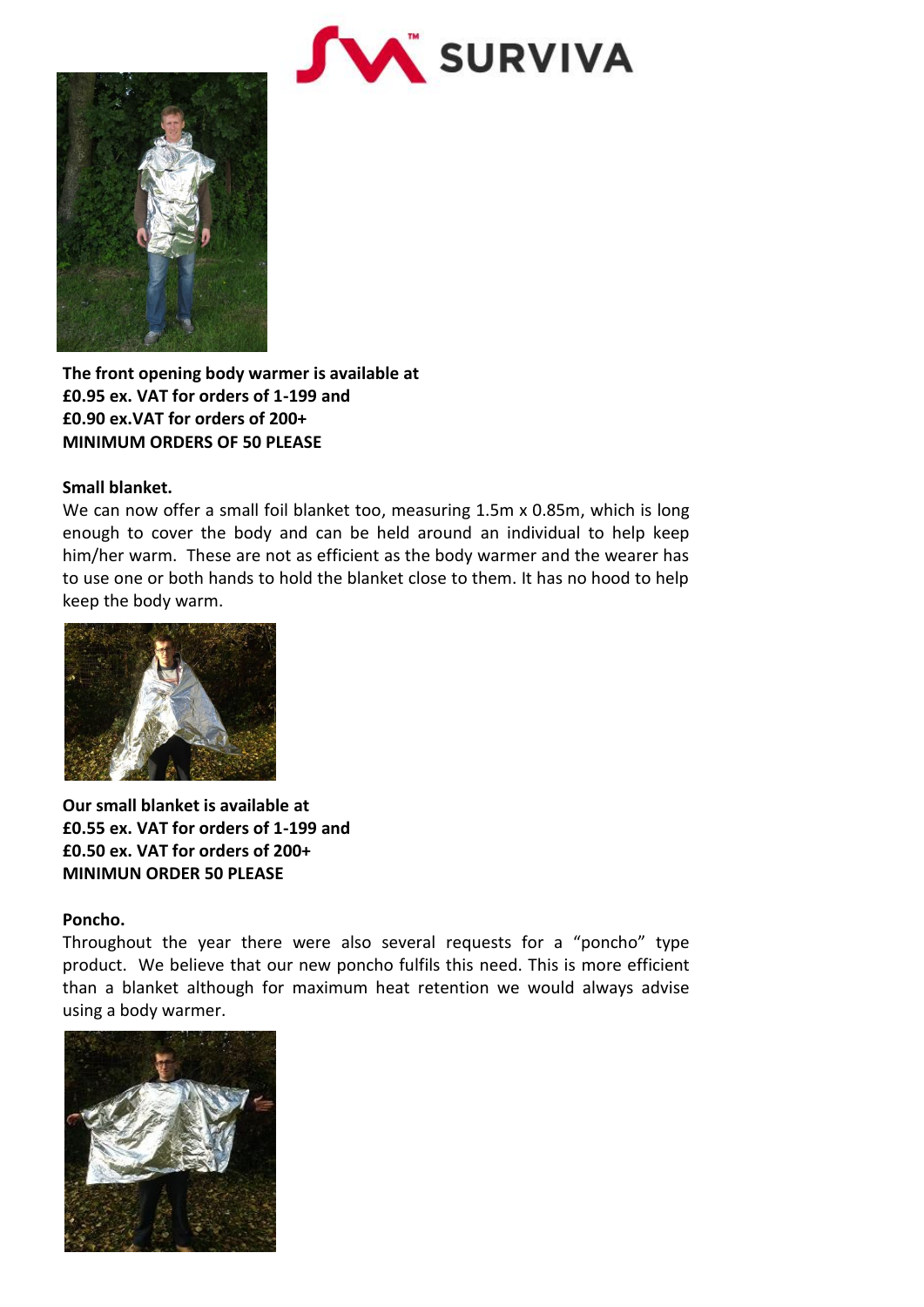



**The front opening body warmer is available at £0.95 ex. VAT for orders of 1-199 and £0.90 ex.VAT for orders of 200+ MINIMUM ORDERS OF 50 PLEASE**

## **Small blanket.**

We can now offer a small foil blanket too, measuring 1.5m x 0.85m, which is long enough to cover the body and can be held around an individual to help keep him/her warm. These are not as efficient as the body warmer and the wearer has to use one or both hands to hold the blanket close to them. It has no hood to help keep the body warm.



**Our small blanket is available at £0.55 ex. VAT for orders of 1-199 and £0.50 ex. VAT for orders of 200+ MINIMUN ORDER 50 PLEASE**

#### **Poncho.**

Throughout the year there were also several requests for a "poncho" type product. We believe that our new poncho fulfils this need. This is more efficient than a blanket although for maximum heat retention we would always advise using a body warmer.